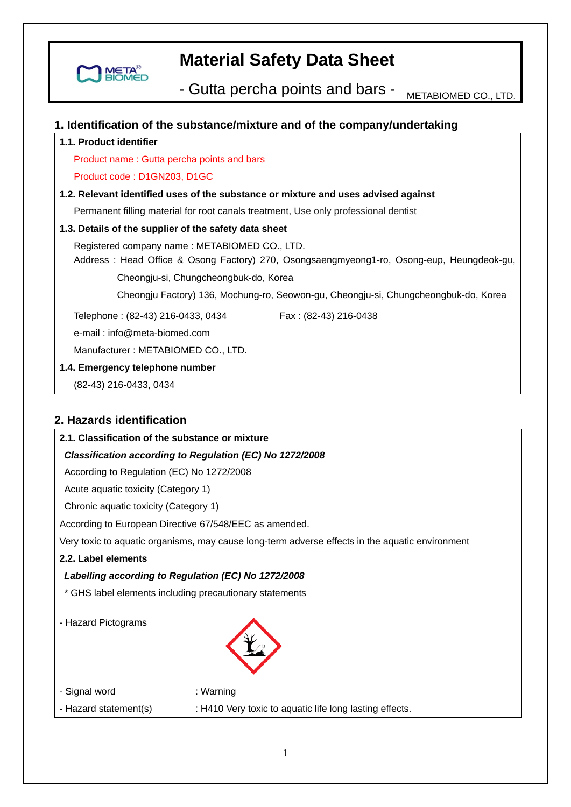

- Gutta percha points and bars - METABIOMED CO., LTD.

## **1. Identification of the substance/mixture and of the company/undertaking**

## **1.1. Product identifier**

Product name : Gutta percha points and bars

#### Product code : D1GN203, D1GC

### **1.2. Relevant identified uses of the substance or mixture and uses advised against**

Permanent filling material for root canals treatment, Use only professional dentist

### **1.3. Details of the supplier of the safety data sheet**

 Registered company name : METABIOMED CO., LTD. Address : Head Office & Osong Factory) 270, Osongsaengmyeong1-ro, Osong-eup, Heungdeok-gu,

Cheongju-si, Chungcheongbuk-do, Korea

Cheongju Factory) 136, Mochung-ro, Seowon-gu, Cheongju-si, Chungcheongbuk-do, Korea

Telephone: (82-43) 216-0433, 0434 Fax: (82-43) 216-0438

e-mail : info@meta-biomed.com

Manufacturer : METABIOMED CO., LTD.

**1.4. Emergency telephone number** 

(82-43) 216-0433, 0434

# **2. Hazards identification**

| 2.1. Classification of the substance or mixture         |                                                                                                 |
|---------------------------------------------------------|-------------------------------------------------------------------------------------------------|
|                                                         | Classification according to Regulation (EC) No 1272/2008                                        |
| According to Regulation (EC) No 1272/2008               |                                                                                                 |
| Acute aquatic toxicity (Category 1)                     |                                                                                                 |
| Chronic aquatic toxicity (Category 1)                   |                                                                                                 |
| According to European Directive 67/548/EEC as amended.  |                                                                                                 |
|                                                         | Very toxic to aquatic organisms, may cause long-term adverse effects in the aquatic environment |
| 2.2. Label elements                                     |                                                                                                 |
| Labelling according to Regulation (EC) No 1272/2008     |                                                                                                 |
| * GHS label elements including precautionary statements |                                                                                                 |
| - Hazard Pictograms                                     |                                                                                                 |
| - Signal word                                           | : Warning                                                                                       |
| - Hazard statement(s)                                   | : H410 Very toxic to aquatic life long lasting effects.                                         |
|                                                         |                                                                                                 |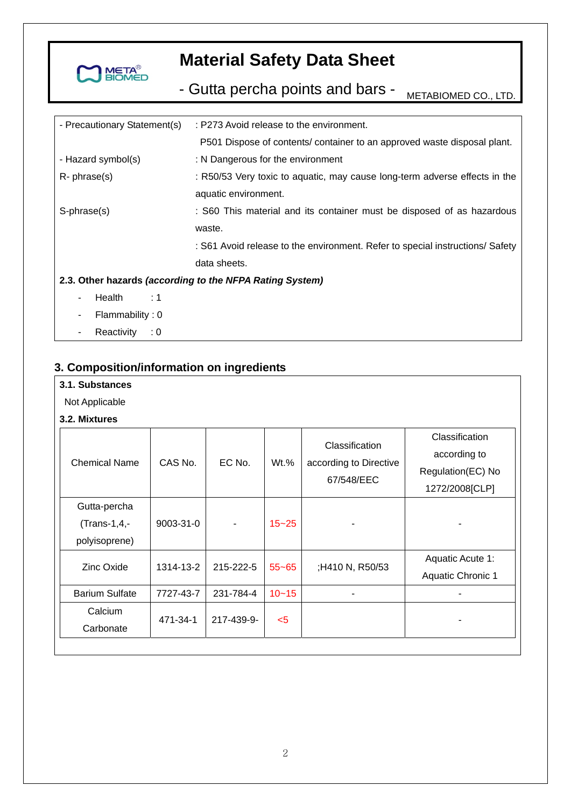

- Gutta percha points and bars - METABIOMED CO., LTD.

| - Precautionary Statement(s)                             | : P273 Avoid release to the environment.                                      |  |  |
|----------------------------------------------------------|-------------------------------------------------------------------------------|--|--|
|                                                          | P501 Dispose of contents/ container to an approved waste disposal plant.      |  |  |
| - Hazard symbol(s)                                       | : N Dangerous for the environment                                             |  |  |
| $R$ - phrase $(s)$                                       | : R50/53 Very toxic to aquatic, may cause long-term adverse effects in the    |  |  |
|                                                          | aquatic environment.                                                          |  |  |
| S-phrase(s)                                              | : S60 This material and its container must be disposed of as hazardous        |  |  |
|                                                          | waste.                                                                        |  |  |
|                                                          | : S61 Avoid release to the environment. Refer to special instructions/ Safety |  |  |
|                                                          | data sheets.                                                                  |  |  |
| 2.3. Other hazards (according to the NFPA Rating System) |                                                                               |  |  |
| Health<br>$\div$ 1<br>۰.                                 |                                                                               |  |  |
| Flammability: 0<br>٠                                     |                                                                               |  |  |
| Reactivity<br>$\therefore$ 0                             |                                                                               |  |  |

# **3. Composition/information on ingredients**

#### Not Applicable

# **3.2. Mixtures**

| <b>Chemical Name</b>                          | CAS No.         | EC No.     | $Wt.$ %   | Classification<br>according to Directive<br>67/548/EEC | Classification<br>according to<br>Regulation(EC) No<br>1272/2008[CLP] |
|-----------------------------------------------|-----------------|------------|-----------|--------------------------------------------------------|-----------------------------------------------------------------------|
| Gutta-percha<br>(Trans-1,4,-<br>polyisoprene) | $9003 - 31 - 0$ |            | $15 - 25$ |                                                        |                                                                       |
| Zinc Oxide                                    | 1314-13-2       | 215-222-5  | $55 - 65$ | ;H410 N, R50/53                                        | Aquatic Acute 1:<br>Aquatic Chronic 1                                 |
| <b>Barium Sulfate</b>                         | 7727-43-7       | 231-784-4  | $10 - 15$ |                                                        |                                                                       |
| Calcium<br>Carbonate                          | 471-34-1        | 217-439-9- | $5$       |                                                        |                                                                       |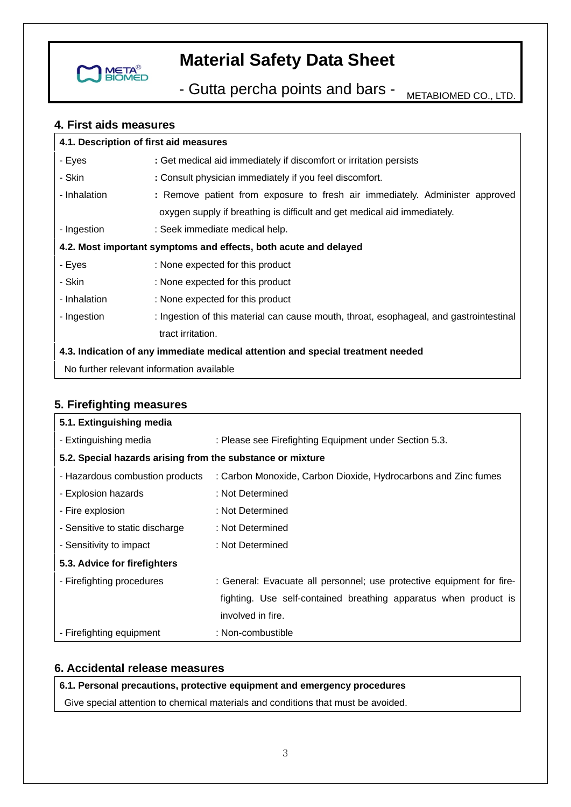

- Gutta percha points and bars - METABIOMED CO., LTD.

## **4. First aids measures**

| 4.1. Description of first aid measures                                          |                                                                                        |  |  |
|---------------------------------------------------------------------------------|----------------------------------------------------------------------------------------|--|--|
| - Eyes                                                                          | : Get medical aid immediately if discomfort or irritation persists                     |  |  |
| - Skin                                                                          | : Consult physician immediately if you feel discomfort.                                |  |  |
| - Inhalation                                                                    | : Remove patient from exposure to fresh air immediately. Administer approved           |  |  |
|                                                                                 | oxygen supply if breathing is difficult and get medical aid immediately.               |  |  |
| - Ingestion                                                                     | : Seek immediate medical help.                                                         |  |  |
| 4.2. Most important symptoms and effects, both acute and delayed                |                                                                                        |  |  |
| - Eyes                                                                          | : None expected for this product                                                       |  |  |
| - Skin                                                                          | : None expected for this product                                                       |  |  |
| - Inhalation                                                                    | : None expected for this product                                                       |  |  |
| - Ingestion                                                                     | : Ingestion of this material can cause mouth, throat, esophageal, and gastrointestinal |  |  |
|                                                                                 | tract irritation.                                                                      |  |  |
| 4.3. Indication of any immediate medical attention and special treatment needed |                                                                                        |  |  |
| No further relevant information available                                       |                                                                                        |  |  |

# **5. Firefighting measures**

| 5.1. Extinguishing media                                   |                                                                       |  |  |
|------------------------------------------------------------|-----------------------------------------------------------------------|--|--|
| - Extinguishing media                                      | : Please see Firefighting Equipment under Section 5.3.                |  |  |
| 5.2. Special hazards arising from the substance or mixture |                                                                       |  |  |
| - Hazardous combustion products                            | : Carbon Monoxide, Carbon Dioxide, Hydrocarbons and Zinc fumes        |  |  |
| - Explosion hazards                                        | : Not Determined                                                      |  |  |
| - Fire explosion                                           | : Not Determined                                                      |  |  |
| - Sensitive to static discharge                            | : Not Determined                                                      |  |  |
| - Sensitivity to impact                                    | : Not Determined                                                      |  |  |
| 5.3. Advice for firefighters                               |                                                                       |  |  |
| - Firefighting procedures                                  | : General: Evacuate all personnel; use protective equipment for fire- |  |  |
|                                                            | fighting. Use self-contained breathing apparatus when product is      |  |  |
|                                                            | involved in fire.                                                     |  |  |
| - Firefighting equipment                                   | : Non-combustible                                                     |  |  |

# **6. Accidental release measures**

## **6.1. Personal precautions, protective equipment and emergency procedures**

Give special attention to chemical materials and conditions that must be avoided.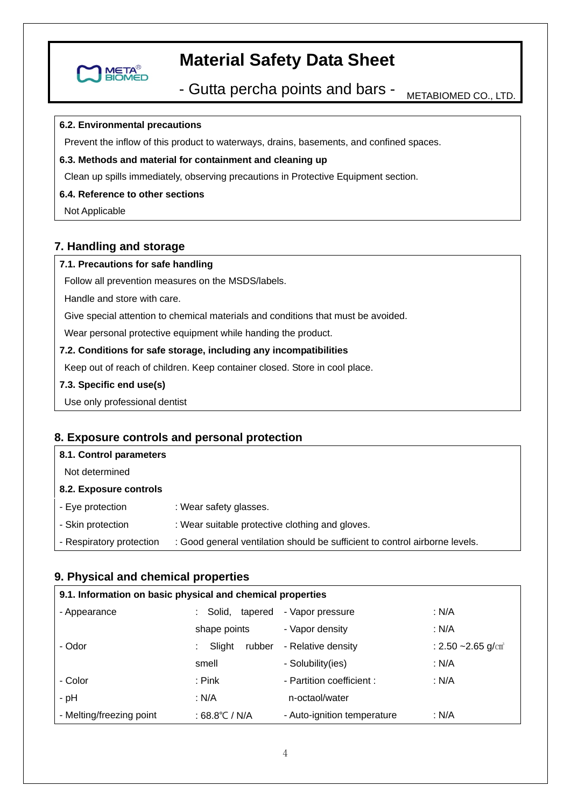

- Gutta percha points and bars - METABIOMED CO., LTD.

### **6.2. Environmental precautions**

Prevent the inflow of this product to waterways, drains, basements, and confined spaces.

#### **6.3. Methods and material for containment and cleaning up**

Clean up spills immediately, observing precautions in Protective Equipment section.

### **6.4. Reference to other sections**

Not Applicable

# **7. Handling and storage**

## **7.1. Precautions for safe handling**

Follow all prevention measures on the MSDS/labels.

Handle and store with care.

Give special attention to chemical materials and conditions that must be avoided.

Wear personal protective equipment while handing the product.

#### **7.2. Conditions for safe storage, including any incompatibilities**

Keep out of reach of children. Keep container closed. Store in cool place.

#### **7.3. Specific end use(s)**

Use only professional dentist

# **8. Exposure controls and personal protection**

### **8.1. Control parameters**  Not determined **8.2. Exposure controls**  - Eye protection - Skin protection - Respiratory protection : Wear safety glasses. : Wear suitable protective clothing and gloves. : Good general ventilation should be sufficient to control airborne levels.

## **9. Physical and chemical properties**

| 9.1. Information on basic physical and chemical properties |                   |                             |                                   |
|------------------------------------------------------------|-------------------|-----------------------------|-----------------------------------|
| - Appearance                                               | Solid,<br>tapered | - Vapor pressure            | : N/A                             |
|                                                            | shape points      | - Vapor density             | : N/A                             |
| - Odor                                                     | Slight<br>rubber  | - Relative density          | : $2.50 - 2.65$ g/cm <sup>3</sup> |
|                                                            | smell             | - Solubility(ies)           | : N/A                             |
| - Color                                                    | : Pink            | - Partition coefficient :   | : N/A                             |
| - pH                                                       | : N/A             | n-octaol/water              |                                   |
| - Melting/freezing point                                   | : 68.8℃ / N/A     | - Auto-ignition temperature | : $N/A$                           |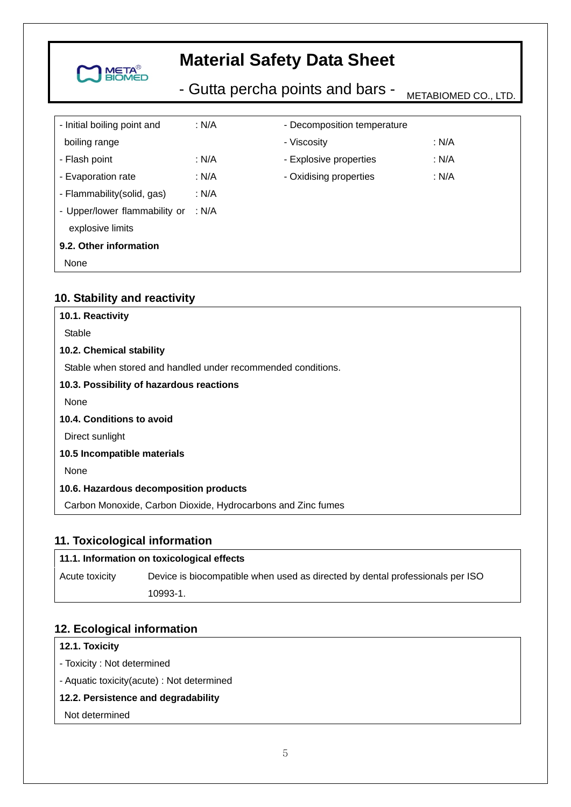

- Gutta percha points and bars - METABIOMED CO., LTD.

| - Initial boiling point and   | : $N/A$ | - Decomposition temperature |       |
|-------------------------------|---------|-----------------------------|-------|
| boiling range                 |         | - Viscosity                 | : N/A |
| - Flash point                 | : $N/A$ | - Explosive properties      | : N/A |
| - Evaporation rate            | : N/A   | - Oxidising properties      | : N/A |
| - Flammability (solid, gas)   | : N/A   |                             |       |
| - Upper/lower flammability or | : N/A   |                             |       |
| explosive limits              |         |                             |       |
| 9.2. Other information        |         |                             |       |
| None                          |         |                             |       |

# **10. Stability and reactivity**

| 10.1. Reactivity                                             |
|--------------------------------------------------------------|
| Stable                                                       |
| 10.2. Chemical stability                                     |
| Stable when stored and handled under recommended conditions. |
| 10.3. Possibility of hazardous reactions                     |
| None                                                         |
| 10.4. Conditions to avoid                                    |
| Direct sunlight                                              |
| 10.5 Incompatible materials                                  |
| None                                                         |
| 10.6. Hazardous decomposition products                       |
| Carbon Monoxide, Carbon Dioxide, Hydrocarbons and Zinc fumes |

# **11. Toxicological information**

| 11.1. Information on toxicological effects |                                                                               |  |  |
|--------------------------------------------|-------------------------------------------------------------------------------|--|--|
| Acute toxicity                             | Device is biocompatible when used as directed by dental professionals per ISO |  |  |
|                                            | 10993-1.                                                                      |  |  |

## **12. Ecological information**

## **12.1. Toxicity**

- Toxicity : Not determined
- Aquatic toxicity(acute) : Not determined

# **12.2. Persistence and degradability**

Not determined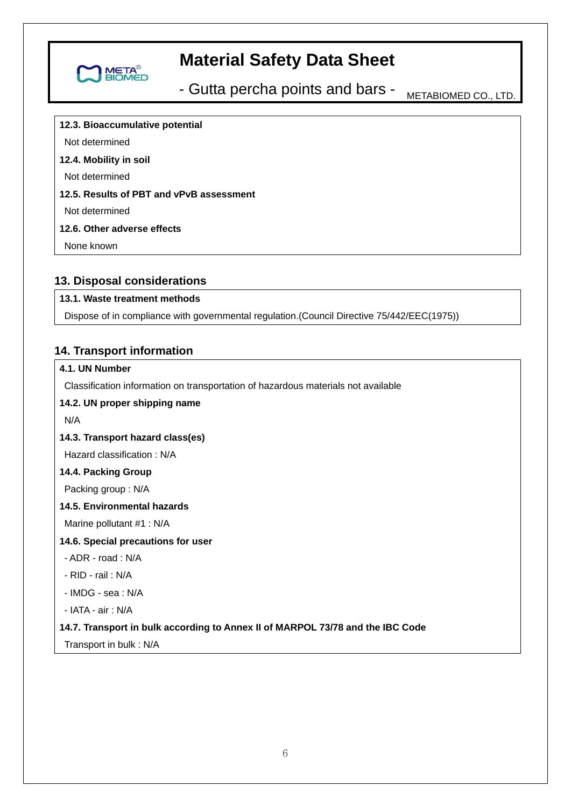

- Gutta percha points and bars - METABIOMED CO., LTD.

**12.3. Bioaccumulative potential** 

Not determined

### **12.4. Mobility in soil**

Not determined

## **12.5. Results of PBT and vPvB assessment**

Not determined

### **12.6. Other adverse effects**

None known

## **13. Disposal considerations**

## **13.1. Waste treatment methods**

Dispose of in compliance with governmental regulation.(Council Directive 75/442/EEC(1975))

## **14. Transport information**

## **4.1. UN Number**

Classification information on transportation of hazardous materials not available

## **14.2. UN proper shipping name**

N/A

## **14.3. Transport hazard class(es)**

Hazard classification : N/A

### **14.4. Packing Group**

Packing group : N/A

#### **14.5. Environmental hazards**

Marine pollutant #1 : N/A

### **14.6. Special precautions for user**

- ADR road : N/A
- RID rail : N/A
- IMDG sea : N/A

- IATA - air : N/A

### **14.7. Transport in bulk according to Annex II of MARPOL 73/78 and the IBC Code**

Transport in bulk : N/A